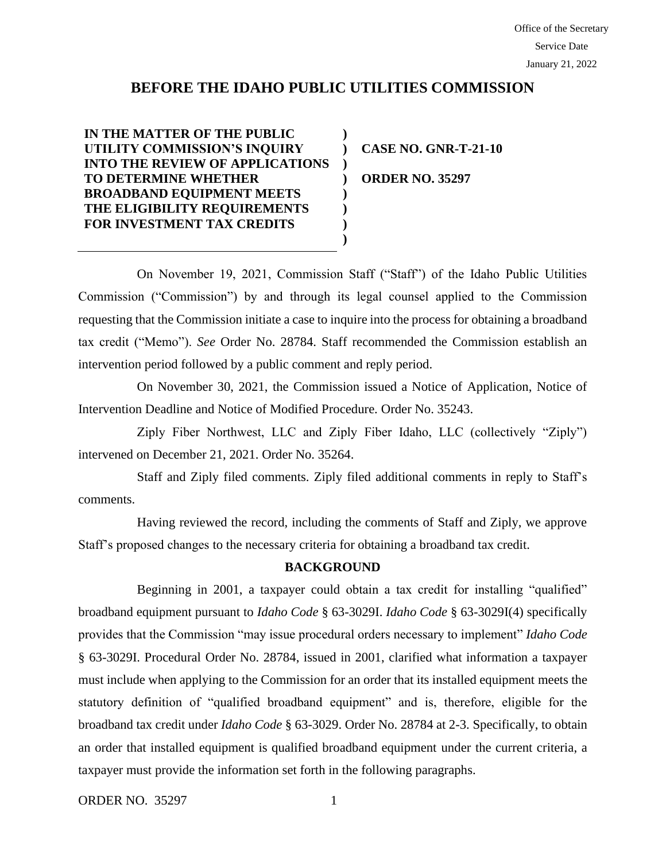# **BEFORE THE IDAHO PUBLIC UTILITIES COMMISSION**

**) ) ) ) ) ) ) )**

**IN THE MATTER OF THE PUBLIC UTILITY COMMISSION'S INQUIRY INTO THE REVIEW OF APPLICATIONS TO DETERMINE WHETHER BROADBAND EQUIPMENT MEETS THE ELIGIBILITY REQUIREMENTS FOR INVESTMENT TAX CREDITS**

**CASE NO. GNR-T-21-10 ORDER NO. 35297**

On November 19, 2021, Commission Staff ("Staff") of the Idaho Public Utilities Commission ("Commission") by and through its legal counsel applied to the Commission requesting that the Commission initiate a case to inquire into the process for obtaining a broadband tax credit ("Memo"). *See* Order No. 28784. Staff recommended the Commission establish an intervention period followed by a public comment and reply period.

On November 30, 2021, the Commission issued a Notice of Application, Notice of Intervention Deadline and Notice of Modified Procedure. Order No. 35243.

Ziply Fiber Northwest, LLC and Ziply Fiber Idaho, LLC (collectively "Ziply") intervened on December 21, 2021. Order No. 35264.

Staff and Ziply filed comments. Ziply filed additional comments in reply to Staff's comments.

Having reviewed the record, including the comments of Staff and Ziply, we approve Staff's proposed changes to the necessary criteria for obtaining a broadband tax credit.

## **BACKGROUND**

Beginning in 2001, a taxpayer could obtain a tax credit for installing "qualified" broadband equipment pursuant to *Idaho Code* § 63-3029I. *Idaho Code* § 63-3029I(4) specifically provides that the Commission "may issue procedural orders necessary to implement" *Idaho Code* § 63-3029I. Procedural Order No. 28784, issued in 2001, clarified what information a taxpayer must include when applying to the Commission for an order that its installed equipment meets the statutory definition of "qualified broadband equipment" and is, therefore, eligible for the broadband tax credit under *Idaho Code* § 63-3029. Order No. 28784 at 2-3. Specifically, to obtain an order that installed equipment is qualified broadband equipment under the current criteria, a taxpayer must provide the information set forth in the following paragraphs.

ORDER NO. 35297 1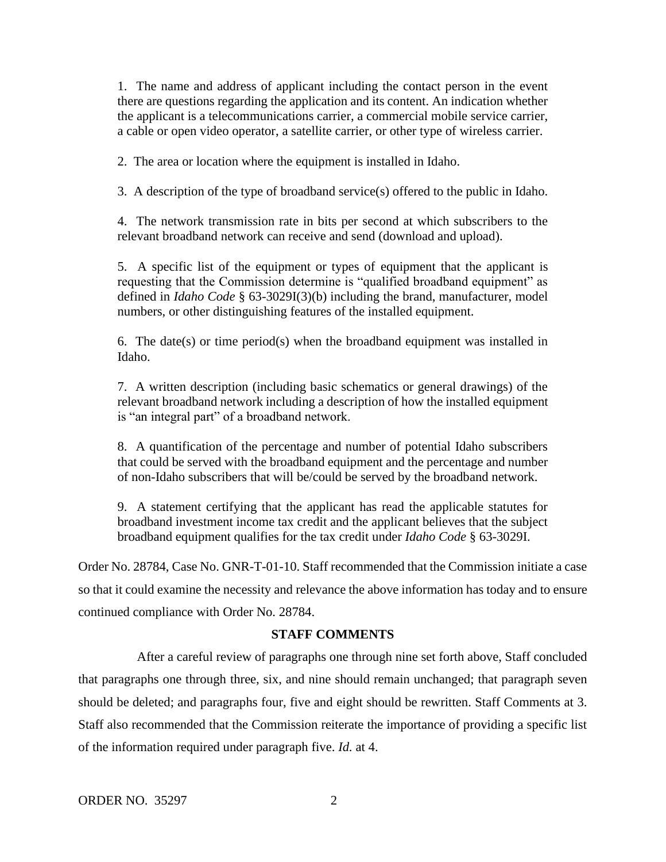1. The name and address of applicant including the contact person in the event there are questions regarding the application and its content. An indication whether the applicant is a telecommunications carrier, a commercial mobile service carrier, a cable or open video operator, a satellite carrier, or other type of wireless carrier.

2. The area or location where the equipment is installed in Idaho.

3. A description of the type of broadband service(s) offered to the public in Idaho.

4. The network transmission rate in bits per second at which subscribers to the relevant broadband network can receive and send (download and upload).

5. A specific list of the equipment or types of equipment that the applicant is requesting that the Commission determine is "qualified broadband equipment" as defined in *Idaho Code* § 63-3029I(3)(b) including the brand, manufacturer, model numbers, or other distinguishing features of the installed equipment.

6. The date(s) or time period(s) when the broadband equipment was installed in Idaho.

7. A written description (including basic schematics or general drawings) of the relevant broadband network including a description of how the installed equipment is "an integral part" of a broadband network.

8. A quantification of the percentage and number of potential Idaho subscribers that could be served with the broadband equipment and the percentage and number of non-Idaho subscribers that will be/could be served by the broadband network.

9. A statement certifying that the applicant has read the applicable statutes for broadband investment income tax credit and the applicant believes that the subject broadband equipment qualifies for the tax credit under *Idaho Code* § 63-3029I.

Order No. 28784, Case No. GNR-T-01-10. Staff recommended that the Commission initiate a case so that it could examine the necessity and relevance the above information has today and to ensure continued compliance with Order No. 28784.

## **STAFF COMMENTS**

After a careful review of paragraphs one through nine set forth above, Staff concluded that paragraphs one through three, six, and nine should remain unchanged; that paragraph seven should be deleted; and paragraphs four, five and eight should be rewritten. Staff Comments at 3. Staff also recommended that the Commission reiterate the importance of providing a specific list of the information required under paragraph five. *Id.* at 4.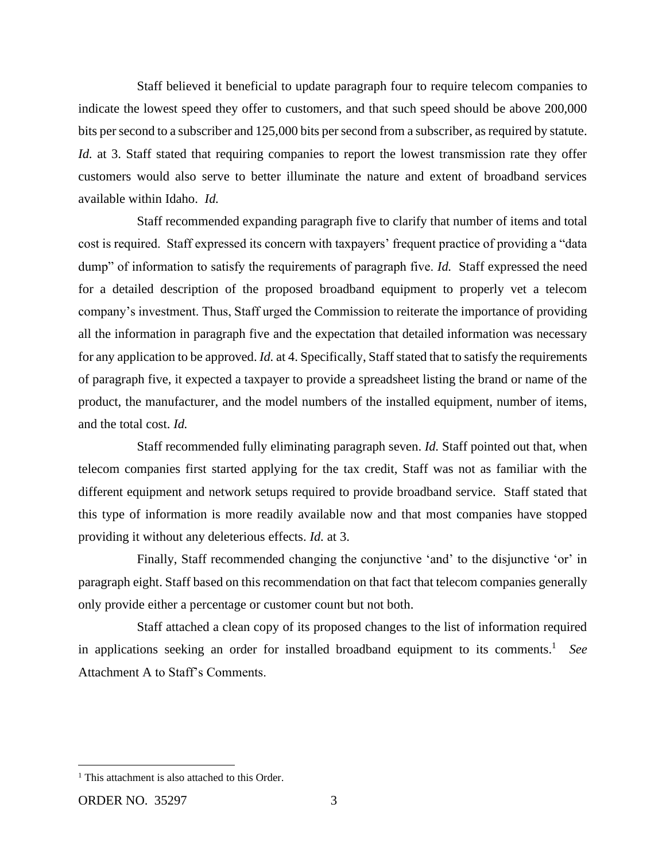Staff believed it beneficial to update paragraph four to require telecom companies to indicate the lowest speed they offer to customers, and that such speed should be above 200,000 bits per second to a subscriber and 125,000 bits per second from a subscriber, as required by statute. *Id.* at 3. Staff stated that requiring companies to report the lowest transmission rate they offer customers would also serve to better illuminate the nature and extent of broadband services available within Idaho. *Id.* 

Staff recommended expanding paragraph five to clarify that number of items and total cost is required. Staff expressed its concern with taxpayers' frequent practice of providing a "data dump" of information to satisfy the requirements of paragraph five. *Id.* Staff expressed the need for a detailed description of the proposed broadband equipment to properly vet a telecom company's investment. Thus, Staff urged the Commission to reiterate the importance of providing all the information in paragraph five and the expectation that detailed information was necessary for any application to be approved. *Id.* at 4. Specifically, Staff stated that to satisfy the requirements of paragraph five, it expected a taxpayer to provide a spreadsheet listing the brand or name of the product, the manufacturer, and the model numbers of the installed equipment, number of items, and the total cost. *Id.* 

Staff recommended fully eliminating paragraph seven. *Id.* Staff pointed out that, when telecom companies first started applying for the tax credit, Staff was not as familiar with the different equipment and network setups required to provide broadband service. Staff stated that this type of information is more readily available now and that most companies have stopped providing it without any deleterious effects. *Id.* at 3.

Finally, Staff recommended changing the conjunctive 'and' to the disjunctive 'or' in paragraph eight. Staff based on this recommendation on that fact that telecom companies generally only provide either a percentage or customer count but not both.

Staff attached a clean copy of its proposed changes to the list of information required in applications seeking an order for installed broadband equipment to its comments. 1 *See* Attachment A to Staff's Comments.

<sup>&</sup>lt;sup>1</sup> This attachment is also attached to this Order.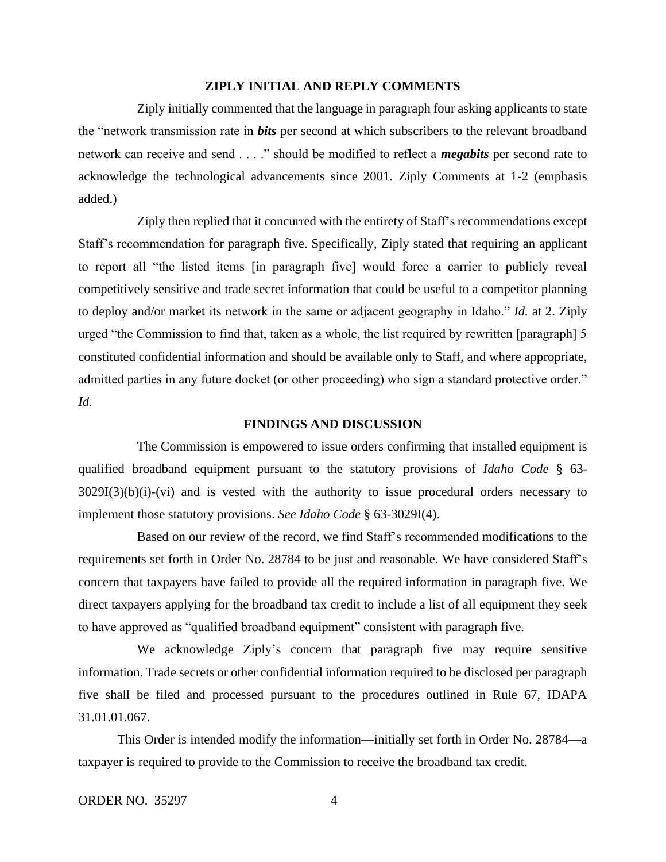#### **ZIPLY INITIAL AND REPLY COMMENTS**

Ziply initially commented that the language in paragraph four asking applicants to state the "network transmission rate in *bits* per second at which subscribers to the relevant broadband network can receive and send . . . ." should be modified to reflect a *megabits* per second rate to acknowledge the technological advancements since 2001. Ziply Comments at 1-2 (emphasis added.)

Ziply then replied that it concurred with the entirety of Staff's recommendations except Staff's recommendation for paragraph five. Specifically, Ziply stated that requiring an applicant to report all "the listed items [in paragraph five] would force a carrier to publicly reveal competitively sensitive and trade secret information that could be useful to a competitor planning to deploy and/or market its network in the same or adjacent geography in Idaho." *Id.* at 2. Ziply urged "the Commission to find that, taken as a whole, the list required by rewritten [paragraph] 5 constituted confidential information and should be available only to Staff, and where appropriate, admitted parties in any future docket (or other proceeding) who sign a standard protective order." *Id.* 

#### **FINDINGS AND DISCUSSION**

The Commission is empowered to issue orders confirming that installed equipment is qualified broadband equipment pursuant to the statutory provisions of *Idaho Code* § 63-  $3029I(3)(b)(i)-(vi)$  and is vested with the authority to issue procedural orders necessary to implement those statutory provisions. *See Idaho Code* § 63-3029I(4).

Based on our review of the record, we find Staff's recommended modifications to the requirements set forth in Order No. 28784 to be just and reasonable. We have considered Staff's concern that taxpayers have failed to provide all the required information in paragraph five. We direct taxpayers applying for the broadband tax credit to include a list of all equipment they seek to have approved as "qualified broadband equipment" consistent with paragraph five.

We acknowledge Ziply's concern that paragraph five may require sensitive information. Trade secrets or other confidential information required to be disclosed per paragraph five shall be filed and processed pursuant to the procedures outlined in Rule 67, IDAPA 31.01.01.067.

This Order is intended modify the information—initially set forth in Order No. 28784—a taxpayer is required to provide to the Commission to receive the broadband tax credit.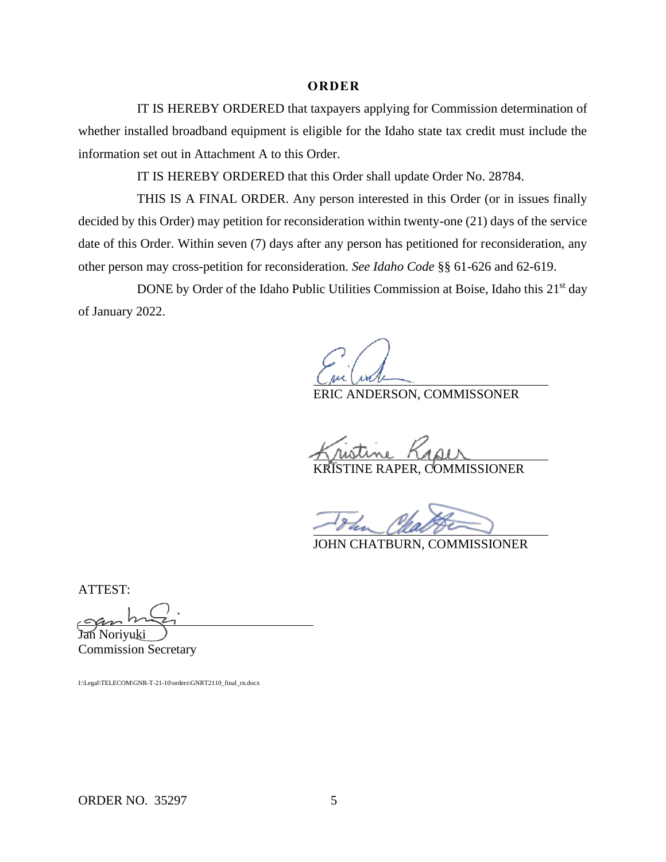#### **O R D E R**

IT IS HEREBY ORDERED that taxpayers applying for Commission determination of whether installed broadband equipment is eligible for the Idaho state tax credit must include the information set out in Attachment A to this Order.

IT IS HEREBY ORDERED that this Order shall update Order No. 28784.

THIS IS A FINAL ORDER. Any person interested in this Order (or in issues finally decided by this Order) may petition for reconsideration within twenty-one (21) days of the service date of this Order. Within seven (7) days after any person has petitioned for reconsideration, any other person may cross-petition for reconsideration. *See Idaho Code* §§ 61-626 and 62-619.

DONE by Order of the Idaho Public Utilities Commission at Boise, Idaho this 21<sup>st</sup> day of January 2022.

ERIC ANDERSON, COMMISSONER

KRISTINE RAPER, COMMISSIONER

JOHN CHATBURN, COMMISSIONER

ATTEST:

Jan Noriyuki

Commission Secretary

I:\Legal\TELECOM\GNR-T-21-10\orders\GNRT2110\_final\_rn.docx